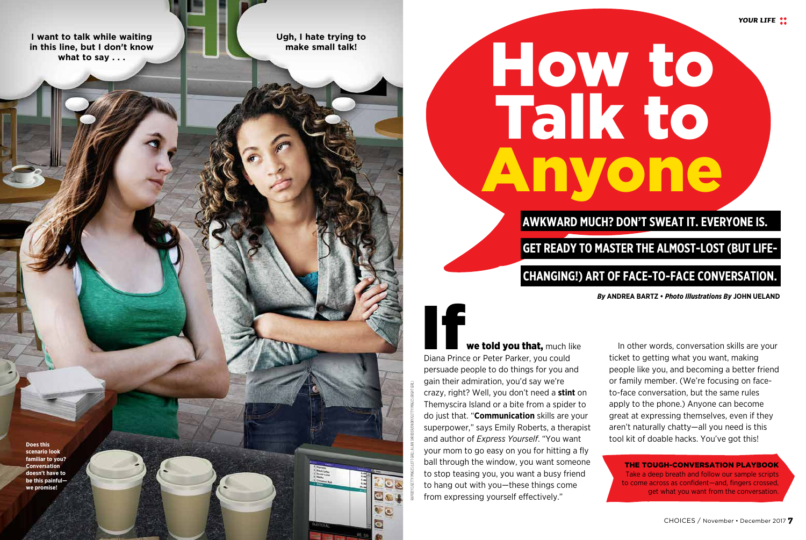**I want to talk while waiting in this line, but I don't know what to say . . .** 

**Ugh, I hate trying to make small talk!** 

# How to Talk to Anyone

# **AWKWARD MUCH? DON'T SWEAT IT. EVERYONE IS.**

# **GET READY TO MASTER THE ALMOST-LOST (BUT LIFE-**

# **CHANGING!) ART OF FACE-TO-FACE CONVERSATION.**

*By* **ANDREA BARTZ •** *Photo Illustrations By* **JOHN UELAND**

*YOUR LIFE*

# we told you that, much like If

Diana Prince or Peter Parker, you could persuade people to do things for you and gain their admiration, you'd say we're crazy, right? Well, you don't need a **stint** on Themyscira Island or a bite from a spider to do just that. "**Communication** skills are your superpower," says Emily Roberts, a therapist and author of *Express Yourself*. "You want your mom to go easy on you for hitting a fly ball through the window, you want someone to stop teasing you, you want a busy friend to hang out with you—these things come from expressing yourself effectively."

RAPIDEYE/GETTY IMAGES (LEFT GIRL); ALAIN SHRODER/ONOKY/GETTY IMAGES (RIGHT GIRL)

In other words, conversation skills are your ticket to getting what you want, making people like you, and becoming a better friend or family member. (We're focusing on faceto-face conversation, but the same rules apply to the phone.) Anyone can become great at expressing themselves, even if they aren't naturally chatty—all you need is this tool kit of doable hacks. You've got this!

THE TOUGH-CONVERSATION PLAYBOOK Take a deep breath and follow our sample scripts to come across as confident—and, fingers crossed, get what you want from the conversation.

**Does this scenario look familiar to you? Conversation doesn't have to be this painful we promise!**